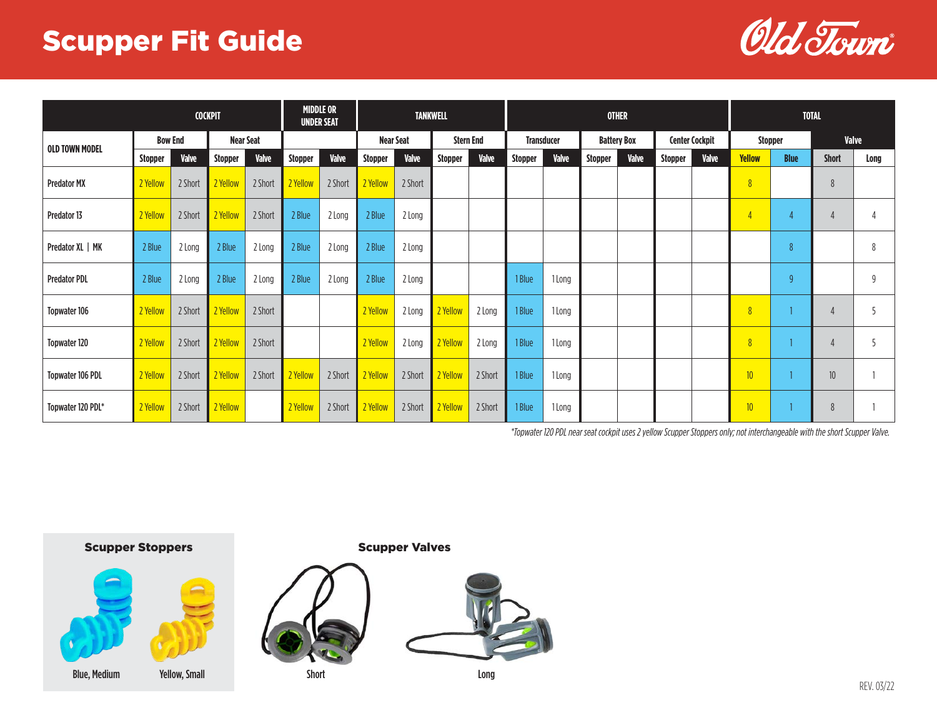## Scupper Fit Guide



| <b>COCKPIT</b>          |                |              |                  |              |                | <b>MIDDLE OR</b><br><b>UNDER SEAT</b> | <b>TANKWELL</b>  |         |                  |              |                   |              |                    | <b>OTHER</b> | <b>TOTAL</b>          |       |                  |                |                 |      |
|-------------------------|----------------|--------------|------------------|--------------|----------------|---------------------------------------|------------------|---------|------------------|--------------|-------------------|--------------|--------------------|--------------|-----------------------|-------|------------------|----------------|-----------------|------|
| <b>OLD TOWN MODEL</b>   | <b>Bow End</b> |              | <b>Near Seat</b> |              |                |                                       | <b>Near Seat</b> |         | <b>Stern End</b> |              | <b>Transducer</b> |              | <b>Battery Box</b> |              | <b>Center Cockpit</b> |       | <b>Stopper</b>   |                | <b>Valve</b>    |      |
|                         | Stopper        | <b>Valve</b> | <b>Stopper</b>   | <b>Valve</b> | <b>Stopper</b> | Valve                                 | <b>Stopper</b>   | Valve   | <b>Stopper</b>   | <b>Valve</b> | <b>Stopper</b>    | <b>Valve</b> | <b>Stopper</b>     | <b>Valve</b> | Stopper               | Valve | <b>Yellow</b>    | <b>Blue</b>    | <b>Short</b>    | Long |
| <b>Predator MX</b>      | 2 Yellow       | 2 Short      | 2 Yellow         | 2 Short      | 2 Yellow       | 2 Short                               | 2 Yellow         | 2 Short |                  |              |                   |              |                    |              |                       |       | $\overline{8}$   |                | 8               |      |
| Predator 13             | 2 Yellow       | 2 Short      | 2 Yellow         | 2 Short      | 2 Blue         | 2 Long                                | 2 Blue           | 2 Long  |                  |              |                   |              |                    |              |                       |       | $\overline{4}$   | $\overline{4}$ |                 |      |
| Predator XL   MK        | 2 Blue         | 2 Long       | 2 Blue           | 2 Long       | 2 Blue         | 2 Long                                | 2 Blue           | 2 Long  |                  |              |                   |              |                    |              |                       |       |                  | 8              |                 | 8    |
| <b>Predator PDL</b>     | 2 Blue         | 2 Long       | 2 Blue           | 2 Long       | 2 Blue         | 2 Long                                | 2 Blue           | 2 Long  |                  |              | 1 Blue            | 1 Long       |                    |              |                       |       |                  | 9              |                 | 9    |
| <b>Topwater 106</b>     | 2 Yellow       | 2 Short      | 2 Yellow         | 2 Short      |                |                                       | 2 Yellow         | 2 Long  | 2 Yellow         | 2 Long       | 1 Blue            | 1 Long       |                    |              |                       |       | $\overline{8}$   |                | $\overline{4}$  | -5   |
| <b>Topwater 120</b>     | 2 Yellow       | 2 Short      | 2 Yellow         | 2 Short      |                |                                       | 2 Yellow         | 2 Long  | 2 Yellow         | 2 Long       | 1 Blue            | 1 Long       |                    |              |                       |       | $\overline{8}$   |                |                 | -5   |
| <b>Topwater 106 PDL</b> | 2 Yellow       | 2 Short      | 2 Yellow         | 2 Short      | 2 Yellow       | 2 Short                               | 2 Yellow         | 2 Short | 2 Yellow         | 2 Short      | 1 Blue            | 1 Long       |                    |              |                       |       | 10 <sup>°</sup>  |                | 10 <sup>°</sup> |      |
| Topwater 120 PDL*       | 2 Yellow       | 2 Short      | 2 Yellow         |              | 2 Yellow       | 2 Short                               | 2 Yellow         | 2 Short | 2 Yellow         | 2 Short      | 1 Blue            | 1 Long       |                    |              |                       |       | 10 <sup>10</sup> |                | 8               |      |

*\*Topwater 120 PDL near seat cockpit uses 2 yellow Scupper Stoppers only; not interchangeable with the short Scupper Valve.*